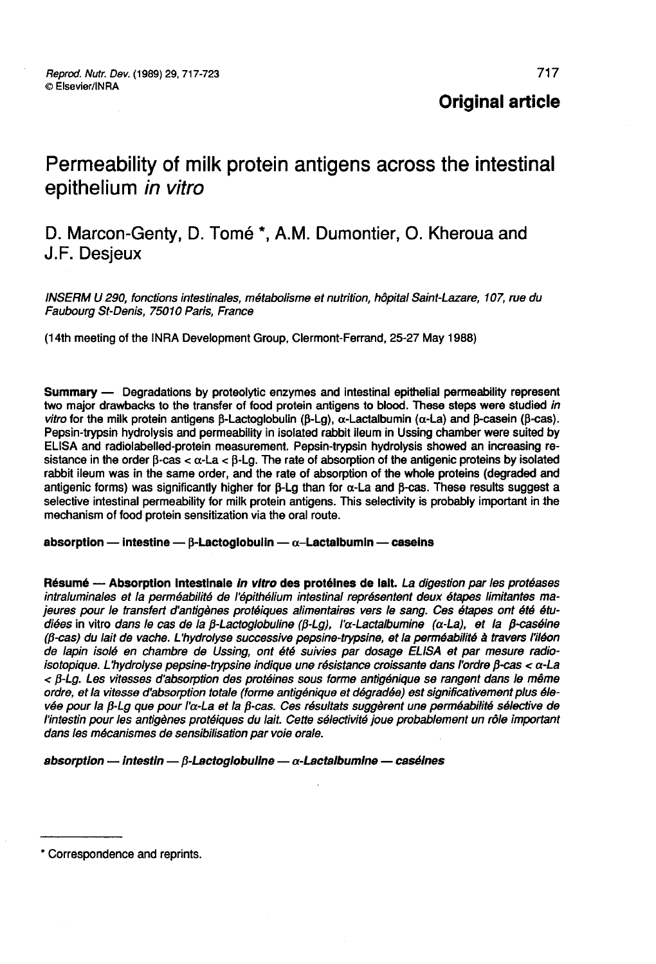**Original article** 

# Permeability of milk protein antigens across the intestinal epithelium in vitro

# D. Marcon-Genty, D. Tomé \*, A.M. Dumontier, O. Kheroua and J.F. Desjeux

INSERM U 290, fonctions intestinales, métabolisme et nutrition, hôpital Saint-Lazare, 107, rue du Faubourg St-Denis, 75010 Paris, France

(14th meeting of the INRA Development Group, Clermont-Ferrand, 25-27 May 1988)

Summary ― Degradations by proteolytic enzymes and intestinal epithelial permeability represent two major drawbacks to the transfer of food protein antigens to blood. These steps were studied in vitro for the milk protein antigens  $\beta$ -Lactoglobulin ( $\beta$ -Lg),  $\alpha$ -Lactalbumin ( $\alpha$ -La) and  $\beta$ -casein ( $\beta$ -cas). Pepsin-trypsin hydrolysis and permeability in isolated rabbit ileum in Ussing chamber were suited by ELISA and radiolabelled-protein measurement. Pepsin-trypsin hydrolysis showed an increasing resistance in the order  $\beta$ -cas  $\lt \alpha$ -La  $\lt \beta$ -La. The rate of absorption of the antigenic proteins by isolated rabbit ileum was in the same order, and the rate of absorption of the whole proteins (degraded and antigenic forms) was significantly higher for  $\beta$ -Lg than for  $\alpha$ -La and  $\beta$ -cas. These results suggest a selective intestinal permeability for milk protein antigens. This selectivity is probably important in the mechanism of food protein sensitization via the oral route.

absorption - intestine -  $\beta$ -Lactoglobulin -  $\alpha$ -Lactalbumin - caseins

Résumé - Absorption intestinale in vitro des protéines de lait. La digestion par les protéases intraluminales et la perméabilité de l'épithélium intestinal représentent deux étapes limitantes majeures pour le transfert d'antigènes protéiques alimentaires vers le sang. Ces étapes ont été étudiées in vitro dans le cas de la  $\beta$ -Lactoglobuline ( $\beta$ -Lg), I' $\alpha$ -Lactalbumine ( $\alpha$ -La), et la  $\beta$ -caséine (/3-cas) du lait de vache. L hydrolyse successive pepsine-trypsine, et la perméabilité à travers l'iléon de lapin isolé en chambre de Ussing, ont été suivies par dosage ELISA et par mesure radioisotopique. L'hydrolyse pepsine-trypsine indique une résistance croissante dans l'ordre  $\beta$ -cas <  $\alpha$ -La < /3-Lg. Les vitesses d'absorption des protéines sous forme antigénique se rangent dans le même ordre, et la vitesse d'absorption totale (forme antigénique et dégradée) est significativement plus élevée pour la  $\beta$ -Lg que pour l'a-La et la  $\beta$ -cas. Ces résultats suggèrent une perméabilité sélective de l'intestin pour les antigènes protéiques du lait. Cette sélectivité joue probablement un rôle important dans les mécanismes de sensibilisation par voie orale.

absorption - intestin -  $\beta$ -Lactoglobuline -  $\alpha$ -Lactalbumine - caséines

<sup>\*</sup> Correspondence and reprints.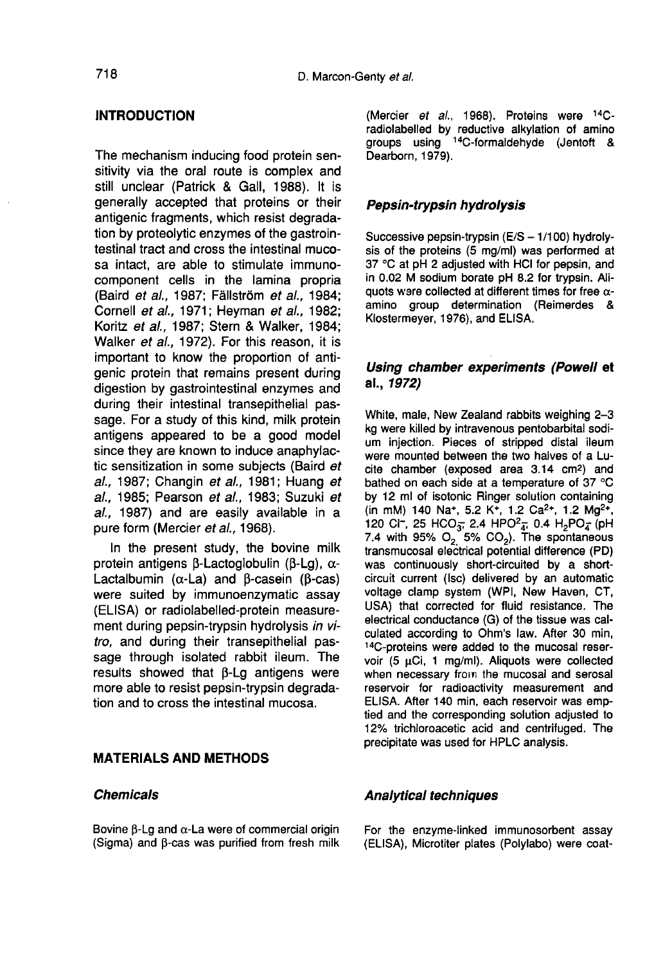#### INTRODUCTION

The mechanism inducing food protein sensitivity via the oral route is complex and still unclear (Patrick & Gall, 1988). It is generally accepted that proteins or their antigenic fragments, which resist degradation by proteolytic enzymes of the gastrointestinal tract and cross the intestinal mucosa intact, are able to stimulate immunocomponent cells in the lamina propria (Baird et al., 1987; Fällström et al., 1984; Cornell et al., 1971; Heyman et al., 1982; Koritz et al., 1987; Stern & Walker, 1984; Walker et al., 1972). For this reason, it is important to know the proportion of antigenic protein that remains present during digestion by gastrointestinal enzymes and during their intestinal transepithelial passage. For a study of this kind, milk protein antigens appeared to be a good model since they are known to induce anaphylactic sensitization in some subjects (Baird et al., 1987; Changin et al., 1981; Huang et al., 1985; Pearson et al., 1983; Suzuki et al., 1987) and are easily available in a pure form (Mercier et al., 1968).

In the present study, the bovine milk protein antigens  $\beta$ -Lactoglobulin ( $\beta$ -Lg),  $\alpha$ -Lactalbumin ( $\alpha$ -La) and  $\beta$ -casein ( $\beta$ -cas) were suited by immunoenzymatic assay (ELISA) or radiolabelled-protein measurement during pepsin-trypsin hydrolysis in vitro, and during their transepithelial passage through isolated rabbit ileum. The results showed that  $\beta$ -Lg antigens were more able to resist pepsin-trypsin degradation and to cross the intestinal mucosa.

# MATERIALS AND METHODS

#### Chemicals

Bovine  $\beta$ -Lg and  $\alpha$ -La were of commercial origin (Sigma) and B-cas was purified from fresh milk (Mercier et al., 1968). Proteins were 14Cradiolabelled by reductive alkylation of amino groups using <sup>14</sup>C-formaldehyde (Jentoft & Dearborn, 1979).

#### Pepsin-trypsin hydrolysis

Successive pepsin-trypsin  $(E/S - 1/100)$  hydrolysis of the proteins (5 mg/ml) was performed at 37 °C at pH 2 adjusted with HCI for pepsin, and in 0.02 M sodium borate pH 8.2 for trypsin. Aliquots ware collected at different times for free  $\alpha$ amino group determination (Reimerdes & Klostermeyer, 1976), and ELISA.

### Using chamber experiments (Powell et al., 1972)

White, male, New Zealand rabbits weighing 2-3 kg were killed by intravenous pentobarbital sodium injection. Pieces of stripped distal ileum were mounted between the two halves of a Lu-<br>cite chamber (exposed area 3.14 cm<sup>2</sup>) and<br>hathod on each side at a temperature of  $37 \text{ }^{\circ}\text{C}$ bathed on each side at a temperature of 37 °C by 12 ml of isotonic Ringer solution containing bathed on each side at a temperature of 37 °C<br>by 12 ml of isotonic Ringer solution containing<br>(in mM) 140 Na\*, 5.2 K\*, 1.2 Ca<sup>2+</sup>, 1.2 Mg<sup>2+</sup>,<br>120 Cl<sup>-</sup> 25 HCO- 2.4 HPO<sup>2</sup> + 0.4 H-PO- (pH (in mM) 140 Na<sup>+</sup>, 5.2 K<sup>+</sup>, 1.2 Ca<sup>2+</sup>, 1.2 Mg<sup>2+</sup>, 120 Cl<sup>-</sup>, 25 HCO<sub>3</sub>; 2.4 HPO<sup>2</sup><sub>4</sub>; 0.4 H<sub>2</sub>PO<sub>4</sub><sup>-</sup>(pH 7.4 with 95% O<sub>2</sub>, 5% CO<sub>2</sub>). The spontaneous transmucosal electrical potential difference (PD) was continuously short-circuited by a shortcircuit current (Isc) delivered by an automatic voltage clamp system (WPI, New Haven, CT, USA) that corrected for fluid resistance. The electrical conductance (G) of the tissue was calculated according to Ohm's law. After 30 min, !4C-proteins were added to the mucosal reservoir (5 µCi, 1 mg/ml). Aliquots were collected when necessary from the mucosal and serosal reservoir for radioactivity measurement and ELISA. After 140 min, each reservoir was emptied and the corresponding solution adjusted to 12% trichloroacetic acid and centrifuged. The precipitate was used for HPLC analysis.

#### Analytical techniques

For the enzyme-linked immunosorbent assay (ELISA), Microtiter plates (Polylabo) were coat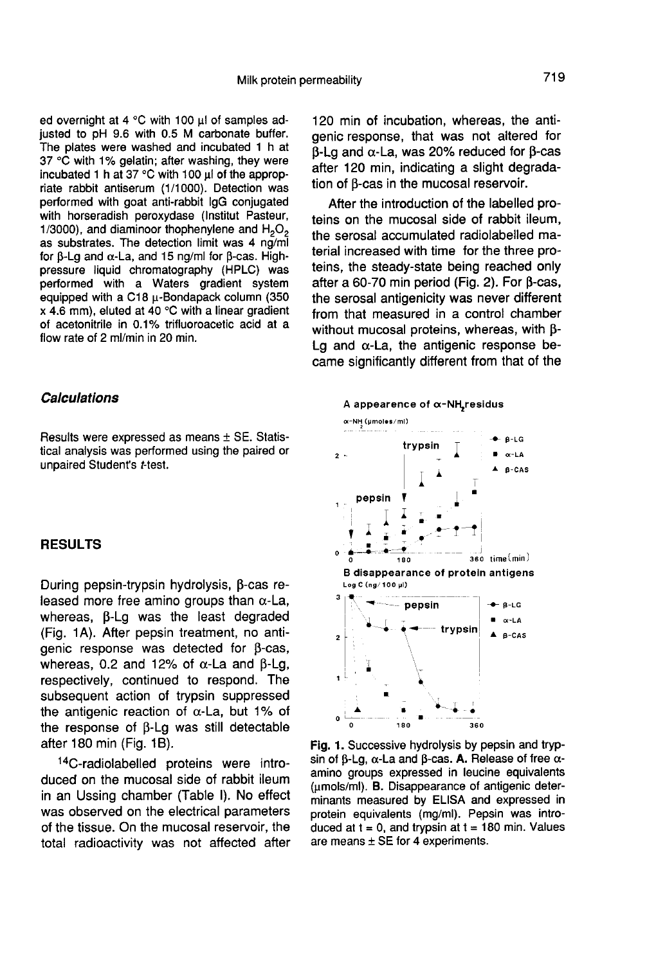ed overnight at 4  $^{\circ}$ C with 100  $\mu$ l of samples adjusted to pH 9.6 with 0.5 M carbonate buffer. The plates were washed and incubated 1 h at 37 °C with 1% gelatin; after washing, they were incubated 1 h at  $37^{\circ}$ C with 100  $\mu$  of the appropriate rabbit antiserum (1/1000). Detection was performed with goat anti-rabbit IgG conjugated with horseradish peroxydase (Institut Pasteur, 1/3000), and diaminoor thophenylene and  $H_2O_2$  as substrates. The detection limit was 4 ng/ml for  $\beta$ -Lg and  $\alpha$ -La, and 15 ng/ml for  $\beta$ -cas. Highpressure liquid chromatography (HPLC) was performed with a Waters gradient system equipped with a C18 u-Bondapack column (350 x 4.6 mm), eluted at 40 °C with a linear gradient of acetonitrile in 0.1% trifluoroacetic acid at a flow rate of 2 ml/min in 20 min.

# **Calculations**

Results were expressed as means ± SE. Statistical analysis was performed using the paired or unpaired Student's t-test.

#### RESULTS

During pepsin-trypsin hydrolysis, β-cas released more free amino groups than  $\alpha$ -La, whereas,  $\beta$ -Lg was the least degraded (Fig. 1 A). After pepsin treatment, no antigenic response was detected for B-cas, whereas, 0.2 and 12% of  $\alpha$ -La and  $\beta$ -Lg, respectively, continued to respond. The subsequent action of trypsin suppressed the antigenic reaction of  $\alpha$ -La, but 1% of the response of  $\beta$ -Lg was still detectable after 180 min (Fig. 1B).

!4C-radiolabelled proteins were introduced on the mucosal side of rabbit ileum in an Ussing chamber (Table I). No effect was observed on the electrical parameters of the tissue. On the mucosal reservoir, the total radioactivity was not affected after

120 min of incubation, whereas, the antigenic response, that was not altered for  $\beta$ -Lg and  $\alpha$ -La, was 20% reduced for  $\beta$ -cas after 120 min, indicating a slight degradation of B-cas in the mucosal reservoir.

After the introduction of the labelled proteins on the mucosal side of rabbit ileum, the serosal accumulated radiolabelled material increased with time for the three proteins, the steady-state being reached only after a 60-70 min period (Fig. 2). For  $\beta$ -cas, the serosal antigenicity was never different from that measured in a control chamber without mucosal proteins, whereas, with  $\beta$ -Lg and  $\alpha$ -La, the antigenic response became significantly different from that of the



Fig. 1. Successive hydrolysis by pepsin and trypsin of  $\beta$ -Lg,  $\alpha$ -La and  $\beta$ -cas. A. Release of free  $\alpha$ amino groups expressed in leucine equivalents (umols/ml). B. Disappearance of antigenic determinants measured by ELISA and expressed in protein equivalents (mq/ml). Pepsin was introduced at  $t = 0$ , and trypsin at  $t = 180$  min. Values are means  $\pm$  SE for 4 experiments.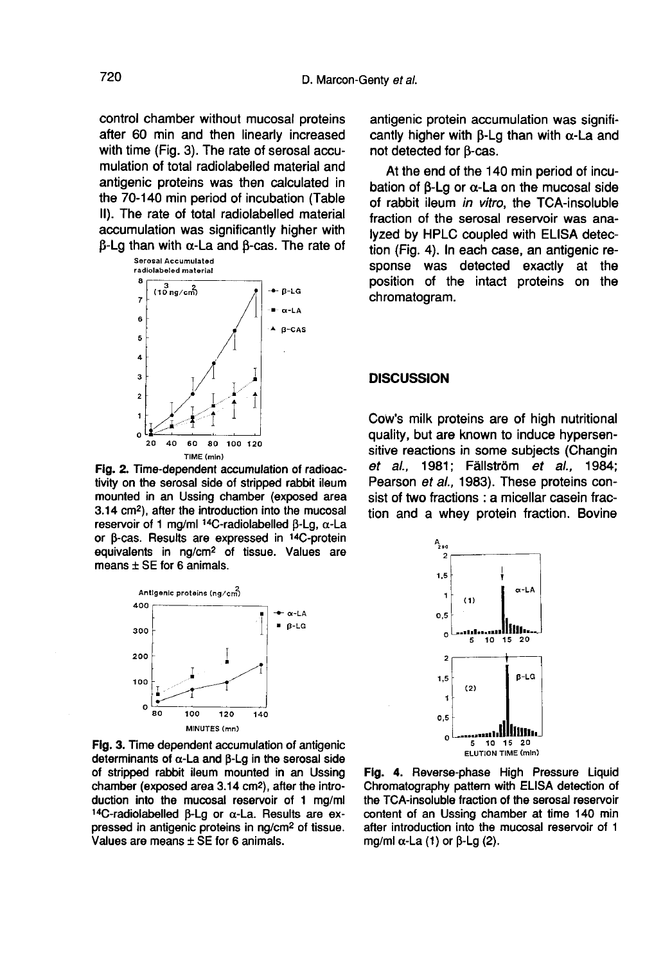control chamber without mucosal proteins after 60 min and then linearly increased with time (Fig. 3). The rate of serosal accumulation of total radiolabelled material and antigenic proteins was then calculated in the 70-140 min period of incubation (Table II). The rate of total radiolabelled material accumulation was significantly higher with  $β$ -Lg than with  $α$ -La and  $β$ -cas. The rate of serosal Accumulated



Fig. 2. Time-dependent accumulation of radioactivity on the serosal side of stripped rabbit ileum mounted in an Ussing chamber (exposed area 3.14 cm<sup>2</sup>), after the introduction into the mucosal reservoir of 1 ma/ml  $14C$ -radiolabelled B-La.  $\alpha$ -La or β-cas. Results are expressed in <sup>14</sup>C-protein equivalents in ng/cm<sup>2</sup> of tissue. Values are means  $\pm$  SE for 6 animals.



Fig. 3. Time dependent accumulation of antigenic determinants of  $\alpha$ -La and  $\beta$ -Lg in the serosal side of stripped rabbit ileum mounted in an Ussing chamber (exposed area 3.14 cm<sup>2</sup>), after the introduction into the mucosal reservoir of 1 mg/ml  $14C$ -radiolabelled B-La or  $\alpha$ -La. Results are expressed in antigenic proteins in ng/cm<sup>2</sup> of tissue. Values are means  $\pm$  SE for 6 animals.

antigenic protein accumulation was significantly higher with  $\beta$ -Lg than with  $\alpha$ -La and not detected for B-cas.

At the end of the 140 min period of incubation of  $\beta$ -Lg or  $\alpha$ -La on the mucosal side of rabbit ileum in vitro, the TCA-insoluble fraction of the serosal reservoir was analyzed by HPLC coupled with ELISA detection (Fig. 4). In each case, an antigenic response was detected exactly at the position of the intact proteins on the chromatogram.

#### **DISCUSSION**

Cow's milk proteins are of high nutritional quality, but are known to induce hypersensitive reactions in some subjects (Changin et al., 1981; Fällström et al., 1984; Pearson et al., 1983). These proteins consist of two fractions : a micellar casein fraction and a whey protein fraction. Bovine



Fig. 4. Reverse-phase High Pressure Liquid Chromatography pattern with ELISA detection of the TCA-insoluble fraction of the serosal reservoir content of an Ussing chamber at time 140 min after introduction into the mucosal reservoir of 1 mg/ml  $\alpha$ -La (1) or  $\beta$ -Lg (2).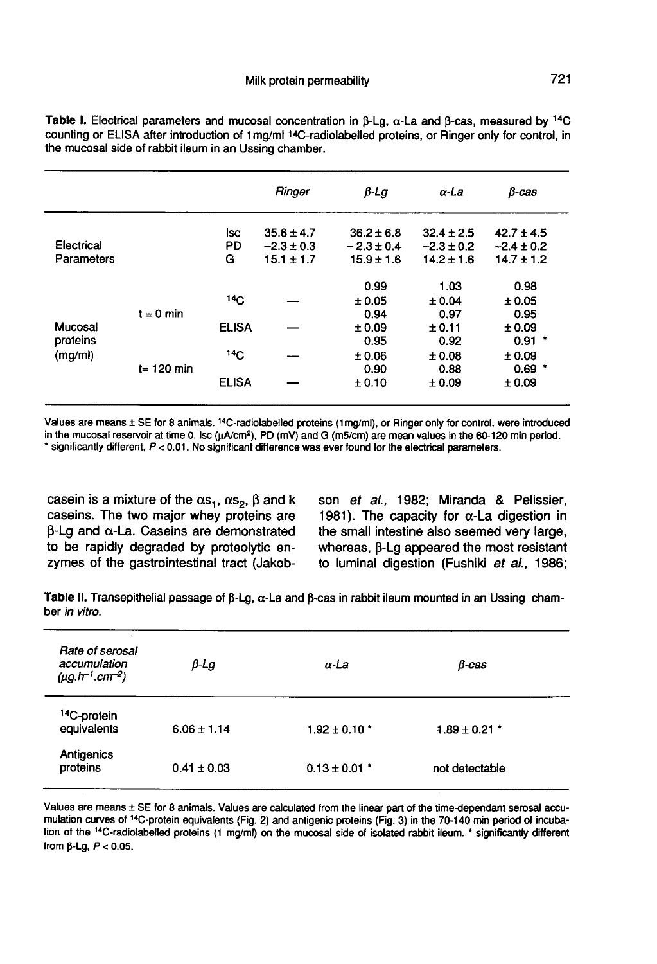|                                |               |                 | Ringer                           | $\beta$ Lg                       | $\alpha$ -La                     | $\beta$ -cas                     |
|--------------------------------|---------------|-----------------|----------------------------------|----------------------------------|----------------------------------|----------------------------------|
| Electrical<br>Parameters       |               | lsc<br>PD       | $35.6 \pm 4.7$<br>$-2.3 \pm 0.3$ | $36.2 \pm 6.8$<br>$-2.3 \pm 0.4$ | $32.4 \pm 2.5$<br>$-2.3 \pm 0.2$ | $42.7 \pm 4.5$<br>$-2.4 \pm 0.2$ |
|                                |               | G               | $15.1 \pm 1.7$                   | $15.9 \pm 1.6$                   | $14.2 \pm 1.6$                   | $14.7 \pm 1.2$                   |
| Mucosal<br>proteins<br>(mg/ml) |               |                 |                                  | 0.99                             | 1.03                             | 0.98                             |
|                                | $t = 0$ min   | 14 <sub>C</sub> |                                  | ± 0.05                           | ± 0.04                           | ± 0.05                           |
|                                |               |                 |                                  | 0.94                             | 0.97                             | 0.95                             |
|                                |               | <b>ELISA</b>    |                                  | ±0.09                            | ± 0.11                           | ± 0.09                           |
|                                |               |                 |                                  | 0.95                             | 0.92                             | $0.91$ $*$                       |
|                                | $t = 120$ min | 14 <sub>C</sub> |                                  | ±0.06                            | ± 0.08                           | ± 0.09                           |
|                                |               |                 |                                  | 0.90                             | 0.88                             | $0.69$ *                         |
|                                |               | <b>ELISA</b>    |                                  | ± 0.10                           | ± 0.09                           | ± 0.09                           |

Table I. Electrical parameters and mucosal concentration in  $\beta$ -Lg,  $\alpha$ -La and  $\beta$ -cas, measured by <sup>14</sup>C counting or ELISA after introduction of 1mg/ml 14C-radiolabelled proteins, or Ringer only for control, in the mucosal side of rabbit ileum in an Ussing chamber.

Values are means ± SE for 8 animals. <sup>14</sup>C-radiolabelled proteins (1mg/ml), or Ringer only for control, were introduced in the mucosal reservoir at time 0. Isc (uA/cm<sup>2</sup>). PD (mV) and G (m5/cm) are mean values in the 60-120 min period. \* significantly different, P < 0.01. No significant difference was ever found for the electrical parameters.

casein is a mixture of the  $\alpha s_1$ ,  $\alpha s_2$ ,  $\beta$  and k caseins. The two major whey proteins are  $\beta$ -Lg and  $\alpha$ -La. Caseins are demonstrated to be rapidly degraded by proteolytic enzymes of the gastrointestinal tract (Jakob-

son et al., 1982; Miranda & Pelissier, 1981). The capacity for  $\alpha$ -La digestion in the small intestine also seemed very large, whereas,  $\beta$ -Lg appeared the most resistant to luminal digestion (Fushiki et al., 1986;

Table II. Transepithelial passage of  $\beta$ -Lg,  $\alpha$ -La and  $\beta$ -cas in rabbit ileum mounted in an Ussing chamber in vitro.

| Rate of serosal<br>accumulation<br>$(\mu g. h^{-1}.cm^{-2})$ | $\beta$ -Lg     | $\alpha$ -La      | $B$ -cas          |  |
|--------------------------------------------------------------|-----------------|-------------------|-------------------|--|
| <sup>14</sup> C-protein<br>equivalents                       | $6.06 \pm 1.14$ | $1.92 \pm 0.10$ * | $1.89 \pm 0.21$ * |  |
| Antigenics<br>proteins                                       | $0.41 \pm 0.03$ | $0.13 \pm 0.01$ * | not detectable    |  |

Values are means ± SE for 8 animals. Values are calculated from the linear part of the time-dependant serosal accumulation curves of <sup>14</sup>C-protein equivalents (Fig. 2) and antigenic proteins (Fig. 3) in the 70-140 min period of incubation of the <sup>14</sup>C-radiolabelled proteins (1 mg/ml) on the mucosal side of isolated rabbit ileum. \* significantly different from  $\beta$ -Lg,  $P < 0.05$ .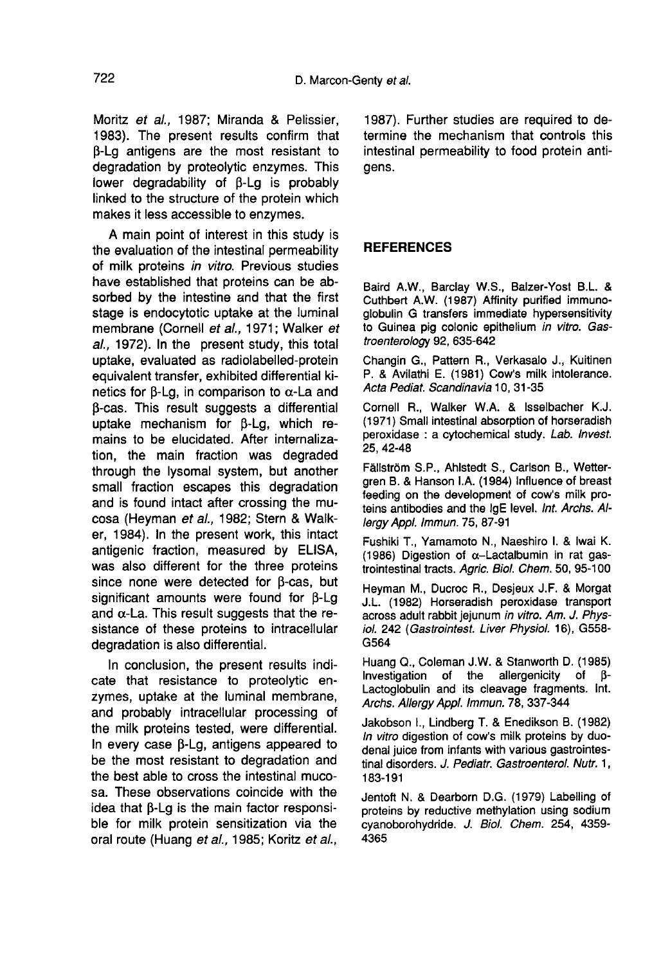Moritz et al., 1987; Miranda & Pelissier, 1983). The present results confirm that  $\beta$ -Lg antigens are the most resistant to degradation by proteolytic enzymes. This lower degradability of  $\beta$ -Lg is probably linked to the structure of the protein which makes it less accessible to enzymes.

A main point of interest in this study is the evaluation of the intestinal permeability of milk proteins in vitro. Previous studies have established that proteins can be absorbed by the intestine and that the first stage is endocytotic uptake at the luminal membrane (Cornell et al., 1971; Walker et al., 1972). In the present study, this total uptake, evaluated as radiolabelled-protein equivalent transfer, exhibited differential kinetics for B-Lg, in comparison to  $\alpha$ -La and p-cas. This result suggests a differential uptake mechanism for  $\beta$ -Lg, which remains to be elucidated. After internalization, the main fraction was degraded through the lysomal system, but another small fraction escapes this degradation and is found intact after crossing the mucosa (Heyman et al., 1982; Stern & Walker, 1984). In the present work, this intact antigenic fraction, measured by ELISA, was also different for the three proteins since none were detected for  $\beta$ -cas, but significant amounts were found for B-Lg and  $\alpha$ -La. This result suggests that the resistance of these proteins to intracellular degradation is also differential.

In conclusion, the present results indicate that resistance to proteolytic enzymes, uptake at the luminal membrane, and probably intracellular processing of the milk proteins tested, were differential. In every case  $\beta$ -Lg, antigens appeared to be the most resistant to degradation and the best able to cross the intestinal mucosa. These observations coincide with the idea that  $\beta$ -Lg is the main factor responsible for milk protein sensitization via the oral route (Huang et al., 1985; Koritz et al.,

1987). Further studies are required to determine the mechanism that controls this intestinal permeability to food protein antigens.

# REFERENCES

Baird A.W., Barclay W.S., Balzer-Yost B.L. & Cuthbert A.W. (1987) Affinity purified immunoglobulin G transfers immediate hypersensitivity to Guinea pig colonic epithelium in vitro. Gastroenterology 92, 635-642

Changin G., Pattern R., Verkasalo J., Kuitinen P. & Avilathi E. (1981) Cow's milk intolerance. Acta Pediat. Scandinavia 10, 31-35

Cornell R., Walker W.A. & Isselbacher K.J. (1971) Small intestinal absorption of horseradish peroxidase : a cytochemical study. Lab. Invest. 25, 42-48

Fällström S.P., Ahlstedt S., Carlson B., Wettergren B. & Hanson LA. (1984) Influence of breast feeding on the development of cow's milk proteins antibodies and the IgE level. Int. Archs. Allergy Appl. Immun. 75, 87-91

Fushiki T., Yamamoto N., Naeshiro I. & lwai K. (1986) Digestion of  $\alpha$ -Lactalbumin in rat gastrointestinal tracts. Agric. Biol. Chem. 50, 95-100

Heyman M., Ducroc R., Desjeux J.F. & Morgat J.L. (1982) Horseradish peroxidase transport across adult rabbit jejunum in vitro. Am. J. Physiol. 242 (Gastrointest. Liver Physiol. 16), G558-G564

Huang Q., Coleman J.W. & Stanworth D. (1985) Investigation of the Lactoglobulin and its cleavage fragments. Int. Archs. Allergy Appl. Immun. 78, 337-344

Jakobson I., Lindberg T. & Enedikson B. (1982) In vitro digestion of cow's milk proteins by duodenal juice from infants with various gastrointestinal disorders. J. Pediatr. Gastroenterol. Nutr. 1, 183-191

Jentoft N. & Dearborn D.G. (1979) Labelling of proteins by reductive methylation using sodium cyanoborohydride. J. Biol. Chem. 254, 4359- 4365